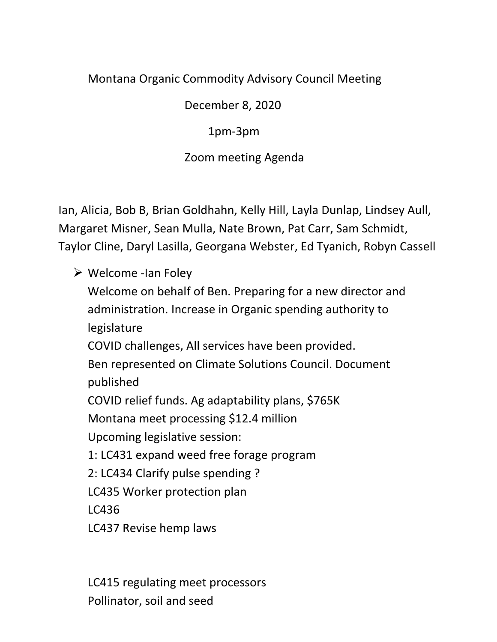## Montana Organic Commodity Advisory Council Meeting

December 8, 2020

1pm-3pm

Zoom meeting Agenda

Ian, Alicia, Bob B, Brian Goldhahn, Kelly Hill, Layla Dunlap, Lindsey Aull, Margaret Misner, Sean Mulla, Nate Brown, Pat Carr, Sam Schmidt, Taylor Cline, Daryl Lasilla, Georgana Webster, Ed Tyanich, Robyn Cassell

 $\triangleright$  Welcome -Ian Foley

Welcome on behalf of Ben. Preparing for a new director and administration. Increase in Organic spending authority to legislature

COVID challenges, All services have been provided.

Ben represented on Climate Solutions Council. Document published

COVID relief funds. Ag adaptability plans, \$765K

Montana meet processing \$12.4 million

Upcoming legislative session:

1: LC431 expand weed free forage program

2: LC434 Clarify pulse spending ?

LC435 Worker protection plan

LC436

LC437 Revise hemp laws

LC415 regulating meet processors Pollinator, soil and seed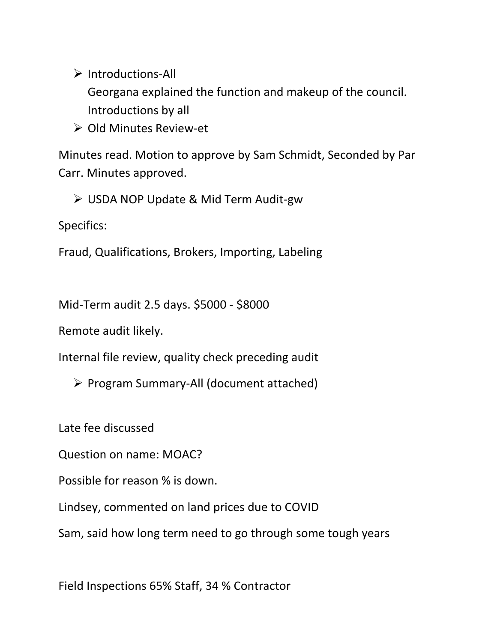$\triangleright$  Introductions-All

Georgana explained the function and makeup of the council. Introductions by all

▶ Old Minutes Review-et

Minutes read. Motion to approve by Sam Schmidt, Seconded by Par Carr. Minutes approved.

USDA NOP Update & Mid Term Audit-gw

Specifics:

Fraud, Qualifications, Brokers, Importing, Labeling

Mid-Term audit 2.5 days. \$5000 - \$8000

Remote audit likely.

Internal file review, quality check preceding audit

Program Summary-All (document attached)

Late fee discussed

Question on name: MOAC?

Possible for reason % is down.

Lindsey, commented on land prices due to COVID

Sam, said how long term need to go through some tough years

Field Inspections 65% Staff, 34 % Contractor